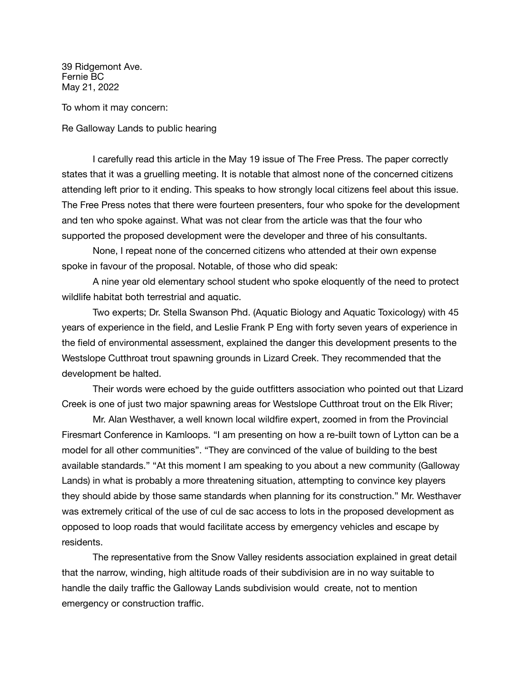39 Ridgemont Ave. Fernie BC May 21, 2022

To whom it may concern:

Re Galloway Lands to public hearing

I carefully read this article in the May 19 issue of The Free Press. The paper correctly states that it was a gruelling meeting. It is notable that almost none of the concerned citizens attending left prior to it ending. This speaks to how strongly local citizens feel about this issue. The Free Press notes that there were fourteen presenters, four who spoke for the development and ten who spoke against. What was not clear from the article was that the four who supported the proposed development were the developer and three of his consultants.

None, I repeat none of the concerned citizens who attended at their own expense spoke in favour of the proposal. Notable, of those who did speak:

A nine year old elementary school student who spoke eloquently of the need to protect wildlife habitat both terrestrial and aquatic.

Two experts; Dr. Stella Swanson Phd. (Aquatic Biology and Aquatic Toxicology) with 45 years of experience in the field, and Leslie Frank P Eng with forty seven years of experience in the field of environmental assessment, explained the danger this development presents to the Westslope Cutthroat trout spawning grounds in Lizard Creek. They recommended that the development be halted.

Their words were echoed by the guide outfitters association who pointed out that Lizard Creek is one of just two major spawning areas for Westslope Cutthroat trout on the Elk River;

Mr. Alan Westhaver, a well known local wildfire expert, zoomed in from the Provincial Firesmart Conference in Kamloops. "I am presenting on how a re-built town of Lytton can be a model for all other communities". "They are convinced of the value of building to the best available standards." "At this moment I am speaking to you about a new community (Galloway Lands) in what is probably a more threatening situation, attempting to convince key players they should abide by those same standards when planning for its construction." Mr. Westhaver was extremely critical of the use of cul de sac access to lots in the proposed development as opposed to loop roads that would facilitate access by emergency vehicles and escape by residents.

The representative from the Snow Valley residents association explained in great detail that the narrow, winding, high altitude roads of their subdivision are in no way suitable to handle the daily traffic the Galloway Lands subdivision would create, not to mention emergency or construction traffic.